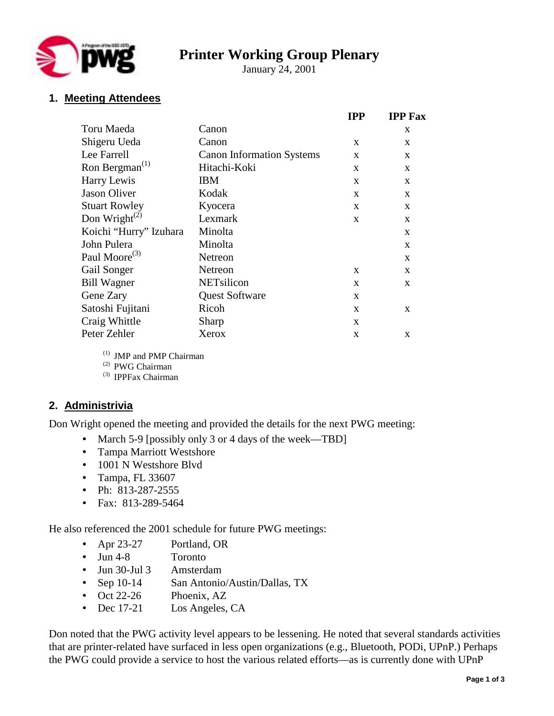

# **Printer Working Group Plenary**

January 24, 2001

# **1. Meeting Attendees**

|                                         |                                  | <b>IPP</b>   | <b>IPP Fax</b> |
|-----------------------------------------|----------------------------------|--------------|----------------|
| Toru Maeda                              | Canon                            |              | X              |
| Shigeru Ueda                            | Canon                            | X            | X              |
| Lee Farrell                             | <b>Canon Information Systems</b> | X            | X              |
| Ron Bergman <sup><math>(1)</math></sup> | Hitachi-Koki                     | X            | X              |
| Harry Lewis                             | <b>IBM</b>                       | $\mathbf{x}$ | X              |
| <b>Jason Oliver</b>                     | Kodak                            | $\mathbf{X}$ | X              |
| <b>Stuart Rowley</b>                    | Kyocera                          | $\mathbf{X}$ | X              |
| Don Wright <sup><math>(2)</math></sup>  | Lexmark                          | $\mathbf{X}$ | X              |
| Koichi "Hurry" Izuhara                  | Minolta                          |              | X              |
| John Pulera                             | Minolta                          |              | X              |
| Paul Moore <sup>(3)</sup>               | Netreon                          |              | X              |
| Gail Songer                             | Netreon                          | X            | X              |
| <b>Bill Wagner</b>                      | NETsilicon                       | $\mathbf{X}$ | X              |
| Gene Zary                               | <b>Quest Software</b>            | X            |                |
| Satoshi Fujitani                        | Ricoh                            | $\mathbf{X}$ | X              |
| Craig Whittle                           | Sharp                            | $\mathbf{X}$ |                |
| Peter Zehler                            | Xerox                            | X            | X              |

(1) JMP and PMP Chairman

(2) PWG Chairman

(3) IPPFax Chairman

# **2. Administrivia**

Don Wright opened the meeting and provided the details for the next PWG meeting:

- March 5-9 [possibly only 3 or 4 days of the week—TBD]
- Tampa Marriott Westshore
- 1001 N Westshore Blvd
- Tampa, FL 33607
- Ph: 813-287-2555
- Fax: 813-289-5464

He also referenced the 2001 schedule for future PWG meetings:

- Apr 23-27 Portland, OR
- Jun 4-8 Toronto
- Jun 30-Jul 3 Amsterdam
- Sep 10-14 San Antonio/Austin/Dallas, TX
- Oct 22-26 Phoenix, AZ
- Dec 17-21 Los Angeles, CA

Don noted that the PWG activity level appears to be lessening. He noted that several standards activities that are printer-related have surfaced in less open organizations (e.g., Bluetooth, PODi, UPnP.) Perhaps the PWG could provide a service to host the various related efforts—as is currently done with UPnP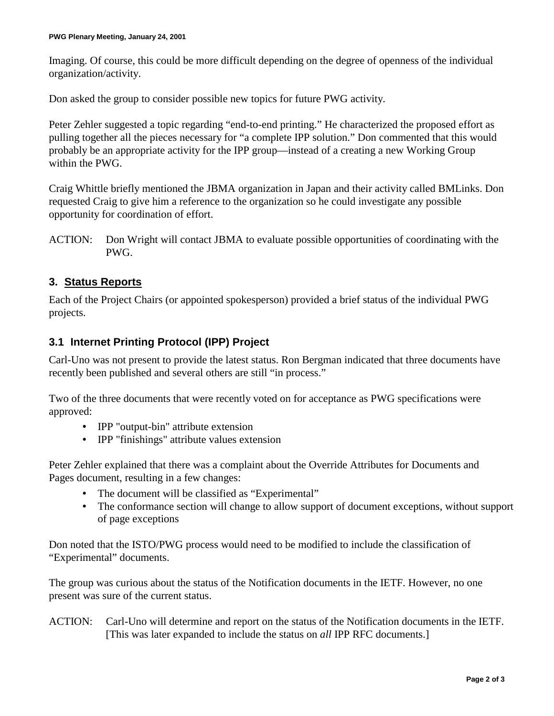Imaging. Of course, this could be more difficult depending on the degree of openness of the individual organization/activity.

Don asked the group to consider possible new topics for future PWG activity.

Peter Zehler suggested a topic regarding "end-to-end printing." He characterized the proposed effort as pulling together all the pieces necessary for "a complete IPP solution." Don commented that this would probably be an appropriate activity for the IPP group—instead of a creating a new Working Group within the PWG.

Craig Whittle briefly mentioned the JBMA organization in Japan and their activity called BMLinks. Don requested Craig to give him a reference to the organization so he could investigate any possible opportunity for coordination of effort.

ACTION: Don Wright will contact JBMA to evaluate possible opportunities of coordinating with the PWG.

#### **3. Status Reports**

Each of the Project Chairs (or appointed spokesperson) provided a brief status of the individual PWG projects.

#### **3.1 Internet Printing Protocol (IPP) Project**

Carl-Uno was not present to provide the latest status. Ron Bergman indicated that three documents have recently been published and several others are still "in process."

Two of the three documents that were recently voted on for acceptance as PWG specifications were approved:

- IPP "output-bin" attribute extension
- IPP "finishings" attribute values extension

Peter Zehler explained that there was a complaint about the Override Attributes for Documents and Pages document, resulting in a few changes:

- The document will be classified as "Experimental"
- The conformance section will change to allow support of document exceptions, without support of page exceptions

Don noted that the ISTO/PWG process would need to be modified to include the classification of "Experimental" documents.

The group was curious about the status of the Notification documents in the IETF. However, no one present was sure of the current status.

ACTION: Carl-Uno will determine and report on the status of the Notification documents in the IETF. [This was later expanded to include the status on *all* IPP RFC documents.]